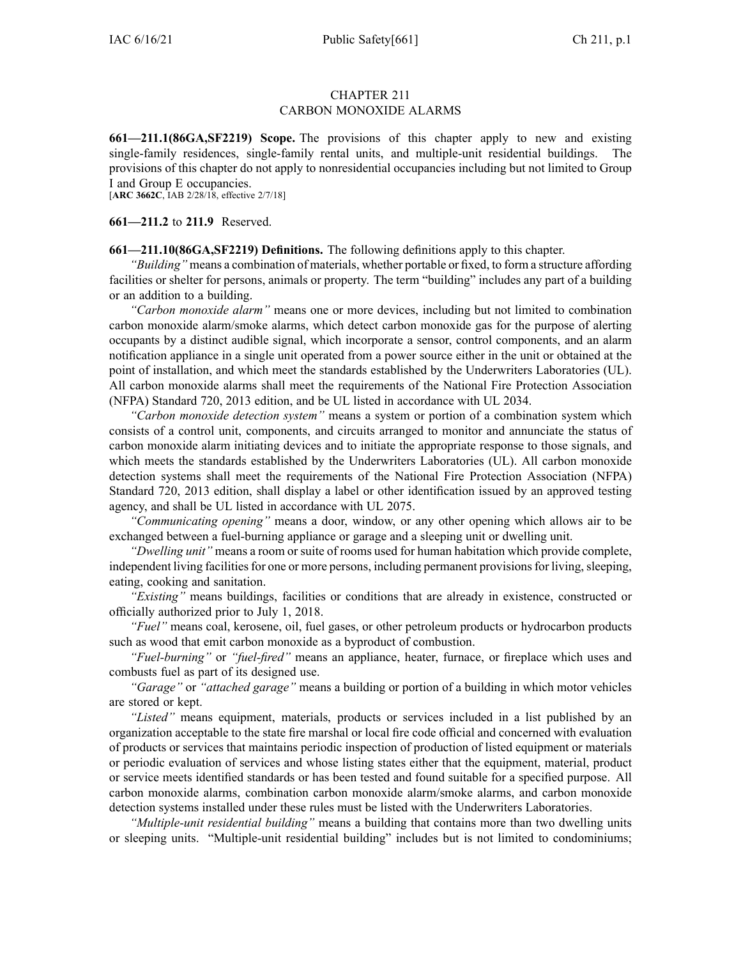## CHAPTER 211 CARBON MONOXIDE ALARMS

**661—211.1(86GA,SF2219) Scope.** The provisions of this chapter apply to new and existing single-family residences, single-family rental units, and multiple-unit residential buildings. The provisions of this chapter do not apply to nonresidential occupancies including but not limited to Group I and Group E occupancies.

[**ARC [3662C](https://www.legis.iowa.gov/docs/aco/arc/3662C.pdf)**, IAB 2/28/18, effective 2/7/18]

**661—211.2** to **211.9** Reserved.

**661—211.10(86GA,SF2219) Definitions.** The following definitions apply to this chapter.

*"Building"* means <sup>a</sup> combination of materials, whether portable or fixed, to form <sup>a</sup> structure affording facilities or shelter for persons, animals or property. The term "building" includes any par<sup>t</sup> of <sup>a</sup> building or an addition to <sup>a</sup> building.

*"Carbon monoxide alarm"* means one or more devices, including but not limited to combination carbon monoxide alarm/smoke alarms, which detect carbon monoxide gas for the purpose of alerting occupants by <sup>a</sup> distinct audible signal, which incorporate <sup>a</sup> sensor, control components, and an alarm notification appliance in <sup>a</sup> single unit operated from <sup>a</sup> power source either in the unit or obtained at the point of installation, and which meet the standards established by the Underwriters Laboratories (UL). All carbon monoxide alarms shall meet the requirements of the National Fire Protection Association (NFPA) Standard 720, 2013 edition, and be UL listed in accordance with UL 2034.

*"Carbon monoxide detection system"* means <sup>a</sup> system or portion of <sup>a</sup> combination system which consists of <sup>a</sup> control unit, components, and circuits arranged to monitor and annunciate the status of carbon monoxide alarm initiating devices and to initiate the appropriate response to those signals, and which meets the standards established by the Underwriters Laboratories (UL). All carbon monoxide detection systems shall meet the requirements of the National Fire Protection Association (NFPA) Standard 720, 2013 edition, shall display <sup>a</sup> label or other identification issued by an approved testing agency, and shall be UL listed in accordance with UL 2075.

*"Communicating opening"* means <sup>a</sup> door, window, or any other opening which allows air to be exchanged between a fuel-burning appliance or garage and a sleeping unit or dwelling unit.

*"Dwelling unit"* means <sup>a</sup> room or suite of rooms used for human habitation which provide complete, independent living facilities for one or more persons, including permanent provisions for living, sleeping, eating, cooking and sanitation.

*"Existing"* means buildings, facilities or conditions that are already in existence, constructed or officially authorized prior to July 1, 2018.

*"Fuel"* means coal, kerosene, oil, fuel gases, or other petroleum products or hydrocarbon products such as wood that emit carbon monoxide as <sup>a</sup> byproduct of combustion.

*"Fuel-burning"* or *"fuel-fired"* means an appliance, heater, furnace, or fireplace which uses and combusts fuel as par<sup>t</sup> of its designed use.

*"Garage"* or *"attached garage"* means <sup>a</sup> building or portion of <sup>a</sup> building in which motor vehicles are stored or kept.

*"Listed"* means equipment, materials, products or services included in <sup>a</sup> list published by an organization acceptable to the state fire marshal or local fire code official and concerned with evaluation of products or services that maintains periodic inspection of production of listed equipment or materials or periodic evaluation of services and whose listing states either that the equipment, material, product or service meets identified standards or has been tested and found suitable for <sup>a</sup> specified purpose. All carbon monoxide alarms, combination carbon monoxide alarm/smoke alarms, and carbon monoxide detection systems installed under these rules must be listed with the Underwriters Laboratories.

*"Multiple-unit residential building"* means <sup>a</sup> building that contains more than two dwelling units or sleeping units. "Multiple-unit residential building" includes but is not limited to condominiums;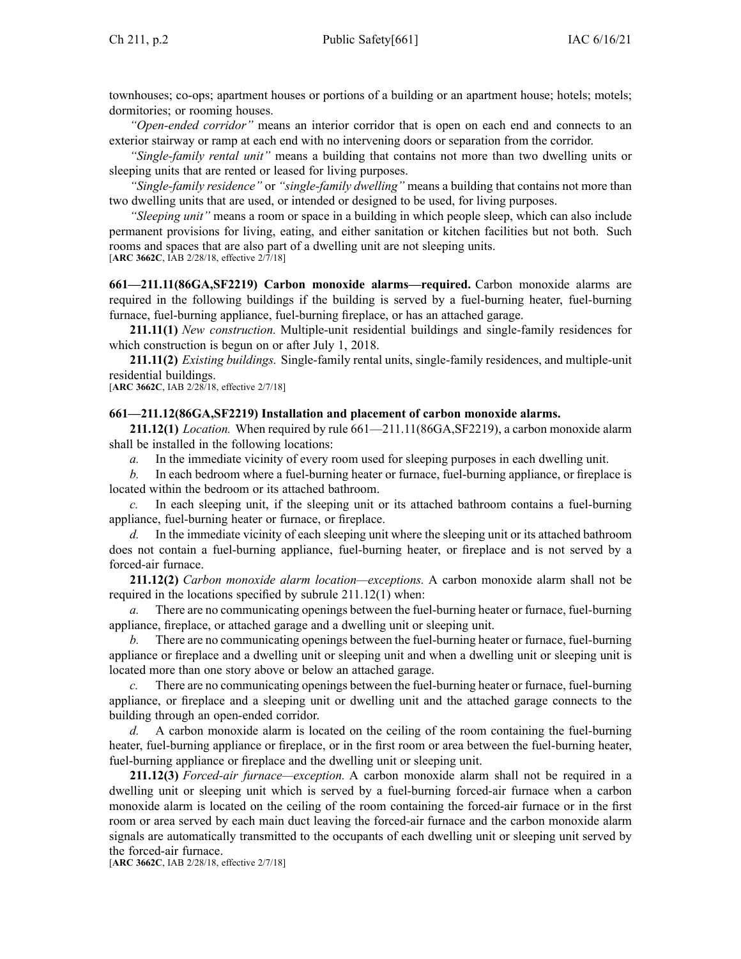townhouses; co-ops; apartment houses or portions of <sup>a</sup> building or an apartment house; hotels; motels; dormitories; or rooming houses.

*"Open-ended corridor"* means an interior corridor that is open on each end and connects to an exterior stairway or ramp at each end with no intervening doors or separation from the corridor.

*"Single-family rental unit"* means <sup>a</sup> building that contains not more than two dwelling units or sleeping units that are rented or leased for living purposes.

*"Single-family residence"* or *"single-family dwelling"* means <sup>a</sup> building that contains not more than two dwelling units that are used, or intended or designed to be used, for living purposes.

*"Sleeping unit"* means <sup>a</sup> room or space in <sup>a</sup> building in which people sleep, which can also include permanen<sup>t</sup> provisions for living, eating, and either sanitation or kitchen facilities but not both. Such rooms and spaces that are also par<sup>t</sup> of <sup>a</sup> dwelling unit are not sleeping units. [**ARC [3662C](https://www.legis.iowa.gov/docs/aco/arc/3662C.pdf)**, IAB 2/28/18, effective 2/7/18]

**661—211.11(86GA,SF2219) Carbon monoxide alarms—required.** Carbon monoxide alarms are required in the following buildings if the building is served by <sup>a</sup> fuel-burning heater, fuel-burning furnace, fuel-burning appliance, fuel-burning fireplace, or has an attached garage.

**211.11(1)** *New construction.* Multiple-unit residential buildings and single-family residences for which construction is begun on or after July 1, 2018.

**211.11(2)** *Existing buildings.* Single-family rental units, single-family residences, and multiple-unit residential buildings.

[**ARC [3662C](https://www.legis.iowa.gov/docs/aco/arc/3662C.pdf)**, IAB 2/28/18, effective 2/7/18]

### **661—211.12(86GA,SF2219) Installation and placement of carbon monoxide alarms.**

**211.12(1)** *Location.* When required by rule [661—211.11](https://www.legis.iowa.gov/docs/iac/rule/661.211.11.pdf)(86GA,SF2219), <sup>a</sup> carbon monoxide alarm shall be installed in the following locations:

*a.* In the immediate vicinity of every room used for sleeping purposes in each dwelling unit.

*b.* In each bedroom where <sup>a</sup> fuel-burning heater or furnace, fuel-burning appliance, or fireplace is located within the bedroom or its attached bathroom.

In each sleeping unit, if the sleeping unit or its attached bathroom contains a fuel-burning appliance, fuel-burning heater or furnace, or fireplace.

*d.* In the immediate vicinity of each sleeping unit where the sleeping unit or its attached bathroom does not contain <sup>a</sup> fuel-burning appliance, fuel-burning heater, or fireplace and is not served by <sup>a</sup> forced-air furnace.

**211.12(2)** *Carbon monoxide alarm location—exceptions.* A carbon monoxide alarm shall not be required in the locations specified by subrule [211.12\(1\)](https://www.legis.iowa.gov/docs/iac/rule/661.211.12.pdf) when:

There are no communicating openings between the fuel-burning heater or furnace, fuel-burning appliance, fireplace, or attached garage and <sup>a</sup> dwelling unit or sleeping unit.

*b.* There are no communicating openings between the fuel-burning heater or furnace, fuel-burning appliance or fireplace and <sup>a</sup> dwelling unit or sleeping unit and when <sup>a</sup> dwelling unit or sleeping unit is located more than one story above or below an attached garage.

There are no communicating openings between the fuel-burning heater or furnace, fuel-burning appliance, or fireplace and <sup>a</sup> sleeping unit or dwelling unit and the attached garage connects to the building through an open-ended corridor.

*d.* A carbon monoxide alarm is located on the ceiling of the room containing the fuel-burning heater, fuel-burning appliance or fireplace, or in the first room or area between the fuel-burning heater, fuel-burning appliance or fireplace and the dwelling unit or sleeping unit.

**211.12(3)** *Forced-air furnace—exception.* A carbon monoxide alarm shall not be required in <sup>a</sup> dwelling unit or sleeping unit which is served by <sup>a</sup> fuel-burning forced-air furnace when <sup>a</sup> carbon monoxide alarm is located on the ceiling of the room containing the forced-air furnace or in the first room or area served by each main duct leaving the forced-air furnace and the carbon monoxide alarm signals are automatically transmitted to the occupants of each dwelling unit or sleeping unit served by the forced-air furnace.

[**ARC [3662C](https://www.legis.iowa.gov/docs/aco/arc/3662C.pdf)**, IAB 2/28/18, effective 2/7/18]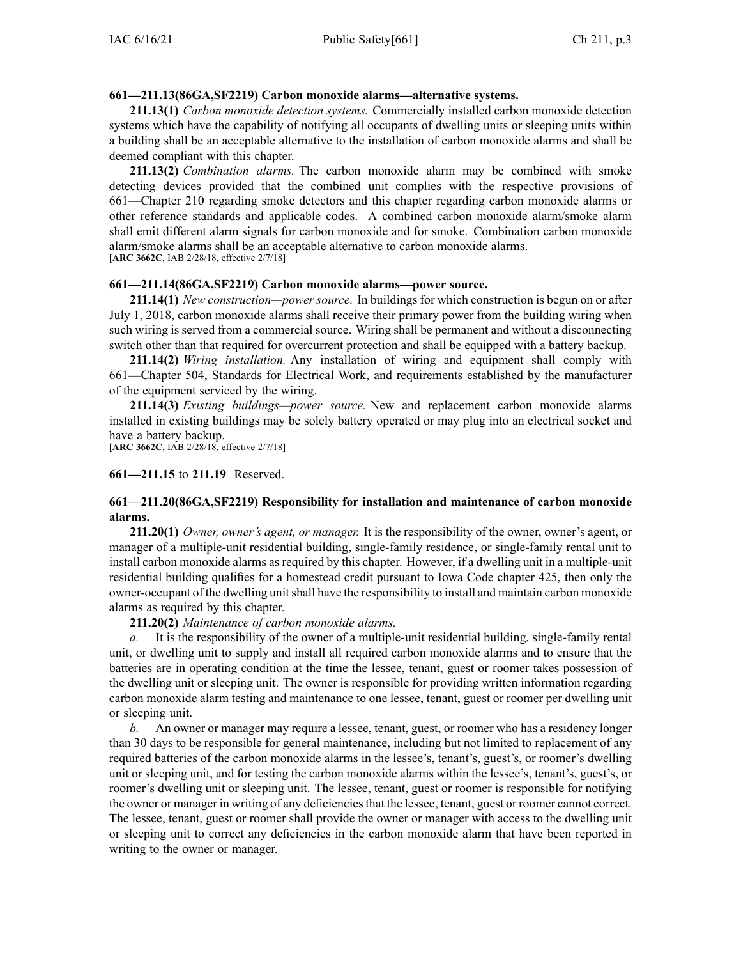## **661—211.13(86GA,SF2219) Carbon monoxide alarms—alternative systems.**

**211.13(1)** *Carbon monoxide detection systems.* Commercially installed carbon monoxide detection systems which have the capability of notifying all occupants of dwelling units or sleeping units within <sup>a</sup> building shall be an acceptable alternative to the installation of carbon monoxide alarms and shall be deemed compliant with this chapter.

**211.13(2)** *Combination alarms.* The carbon monoxide alarm may be combined with smoke detecting devices provided that the combined unit complies with the respective provisions of [661—Chapter](https://www.legis.iowa.gov/docs/iac/chapter/661.210.pdf) 210 regarding smoke detectors and this chapter regarding carbon monoxide alarms or other reference standards and applicable codes. A combined carbon monoxide alarm/smoke alarm shall emit different alarm signals for carbon monoxide and for smoke. Combination carbon monoxide alarm/smoke alarms shall be an acceptable alternative to carbon monoxide alarms. [**ARC [3662C](https://www.legis.iowa.gov/docs/aco/arc/3662C.pdf)**, IAB 2/28/18, effective 2/7/18]

### **661—211.14(86GA,SF2219) Carbon monoxide alarms—power source.**

**211.14(1)** *New construction—power source.* In buildings for which construction is begun on or after July 1, 2018, carbon monoxide alarms shall receive their primary power from the building wiring when such wiring is served from <sup>a</sup> commercial source. Wiring shall be permanen<sup>t</sup> and without <sup>a</sup> disconnecting switch other than that required for overcurrent protection and shall be equipped with <sup>a</sup> battery backup.

**211.14(2)** *Wiring installation.* Any installation of wiring and equipment shall comply with [661—Chapter](https://www.legis.iowa.gov/docs/iac/chapter/661.504.pdf) 504, Standards for Electrical Work, and requirements established by the manufacturer of the equipment serviced by the wiring.

**211.14(3)** *Existing buildings—power source.* New and replacement carbon monoxide alarms installed in existing buildings may be solely battery operated or may plug into an electrical socket and have <sup>a</sup> battery backup.

[**ARC [3662C](https://www.legis.iowa.gov/docs/aco/arc/3662C.pdf)**, IAB 2/28/18, effective 2/7/18]

### **661—211.15** to **211.19** Reserved.

# **661—211.20(86GA,SF2219) Responsibility for installation and maintenance of carbon monoxide alarms.**

**211.20(1)** *Owner, owner's agent, or manager.* It is the responsibility of the owner, owner's agent, or manager of <sup>a</sup> multiple-unit residential building, single-family residence, or single-family rental unit to install carbon monoxide alarms as required by this chapter. However, if <sup>a</sup> dwelling unit in <sup>a</sup> multiple-unit residential building qualifies for <sup>a</sup> homestead credit pursuan<sup>t</sup> to Iowa Code chapter [425](https://www.legis.iowa.gov/docs/ico/chapter/2018/425.pdf), then only the owner-occupant of the dwelling unit shall have the responsibility to install and maintain carbon monoxide alarms as required by this chapter.

# **211.20(2)** *Maintenance of carbon monoxide alarms.*

*a.* It is the responsibility of the owner of <sup>a</sup> multiple-unit residential building, single-family rental unit, or dwelling unit to supply and install all required carbon monoxide alarms and to ensure that the batteries are in operating condition at the time the lessee, tenant, gues<sup>t</sup> or roomer takes possession of the dwelling unit or sleeping unit. The owner is responsible for providing written information regarding carbon monoxide alarm testing and maintenance to one lessee, tenant, gues<sup>t</sup> or roomer per dwelling unit or sleeping unit.

*b.* An owner or manager may require <sup>a</sup> lessee, tenant, guest, or roomer who has <sup>a</sup> residency longer than 30 days to be responsible for general maintenance, including but not limited to replacement of any required batteries of the carbon monoxide alarms in the lessee's, tenant's, guest's, or roomer's dwelling unit or sleeping unit, and for testing the carbon monoxide alarms within the lessee's, tenant's, guest's, or roomer's dwelling unit or sleeping unit. The lessee, tenant, gues<sup>t</sup> or roomer is responsible for notifying the owner or manager in writing of any deficienciesthat the lessee, tenant, gues<sup>t</sup> or roomer cannot correct. The lessee, tenant, gues<sup>t</sup> or roomer shall provide the owner or manager with access to the dwelling unit or sleeping unit to correct any deficiencies in the carbon monoxide alarm that have been reported in writing to the owner or manager.